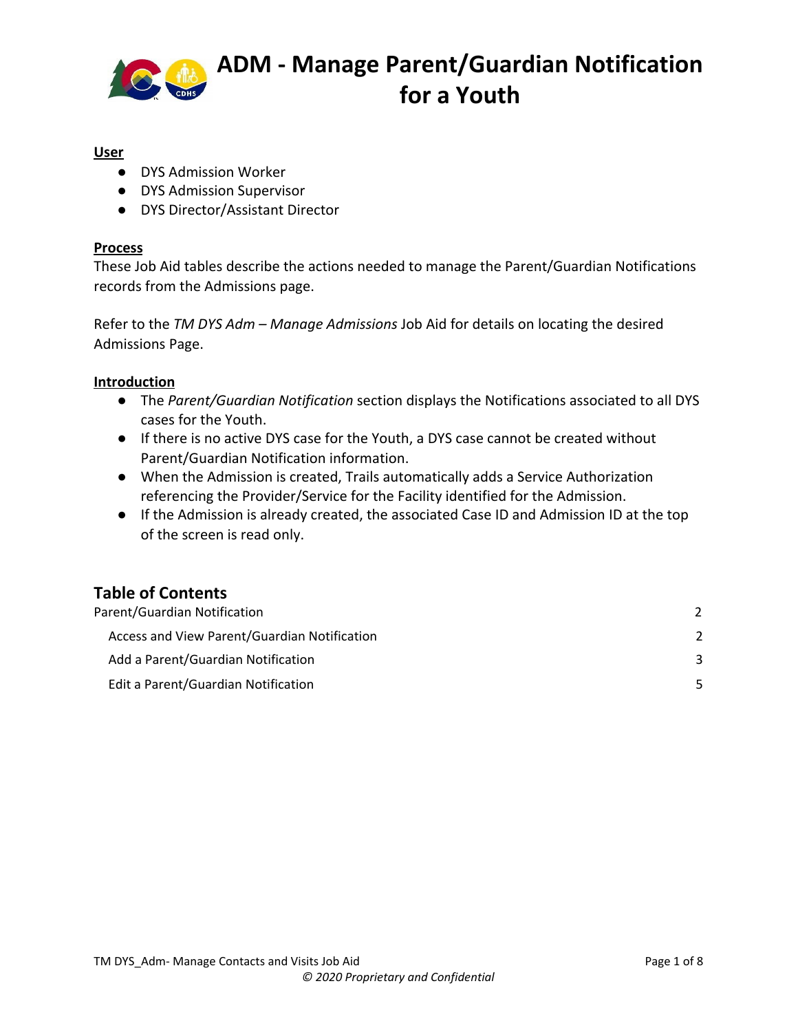

#### **User**

- DYS Admission Worker
- DYS Admission Supervisor
- DYS Director/Assistant Director

#### **Process**

These Job Aid tables describe the actions needed to manage the Parent/Guardian Notifications records from the Admissions page.

Refer to the *TM DYS Adm – Manage Admissions* Job Aid for details on locating the desired Admissions Page.

#### **Introduction**

- The *Parent/Guardian Notification* section displays the Notifications associated to all DYS cases for the Youth.
- If there is no active DYS case for the Youth, a DYS case cannot be created without Parent/Guardian Notification information.
- When the Admission is created, Trails automatically adds a Service Authorization referencing the Provider/Service for the Facility identified for the Admission.
- If the Admission is already created, the associated Case ID and Admission ID at the top of the screen is read only.

#### **Table of Contents**

| Parent/Guardian Notification                 |    |
|----------------------------------------------|----|
| Access and View Parent/Guardian Notification |    |
| Add a Parent/Guardian Notification           |    |
| Edit a Parent/Guardian Notification          | 5. |
|                                              |    |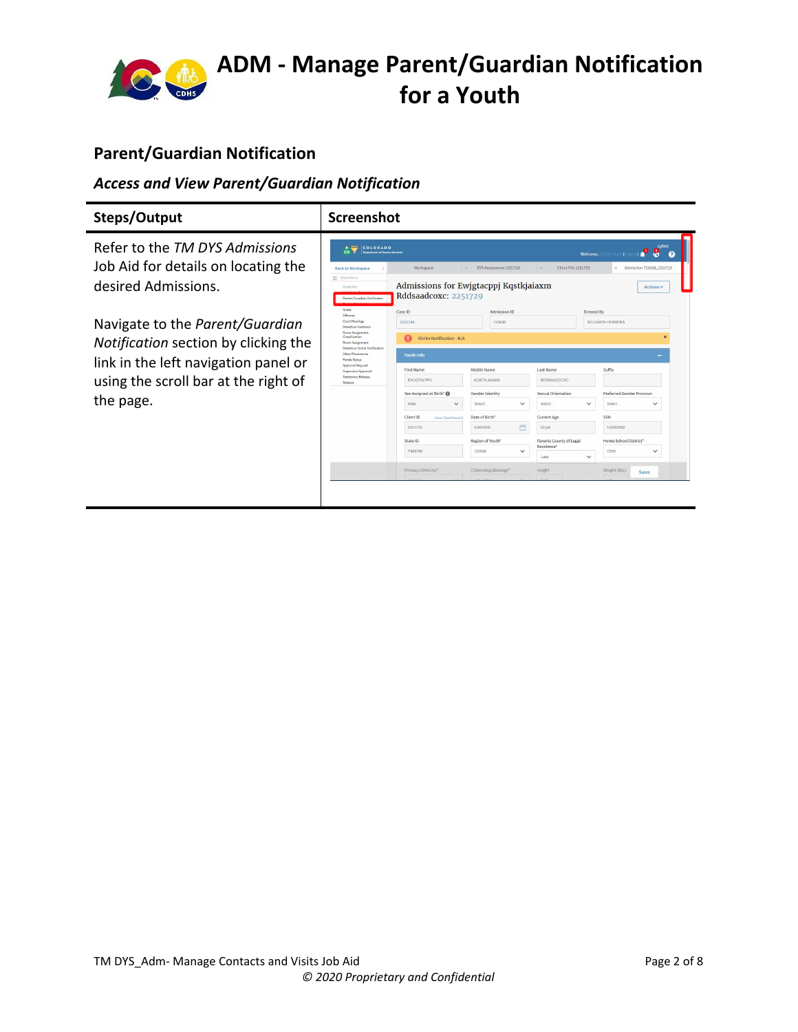

#### <span id="page-1-0"></span>**Parent/Guardian Notification**

#### <span id="page-1-1"></span>*Access and View Parent/Guardian Notification*

| Refer to the TM DYS Admissions<br>Job Aid for details on locating the<br>desired Admissions.                                                                         | A Cons<br>COLORADO<br>$\cos$<br>Department of Human Services<br><b>Back to Workspace</b><br>= Show Menu<br>Youth Info                                                                                                                                                                                             | Workspace<br>Admissions for Ewigtacppj Kqstkjaiaxm<br>Rddsaadcoxc: 2251729                                                                                                                                                                                      | DYS Assessment 2251729<br>$\times$                                                                                                                                                                                  | Client File 2251729<br>$\times$                                                                                                                                    | <b>Welcome, Cgi Oa Test5</b>                                                                                                            | cyfmt<br>8<br>$\boldsymbol{\Omega}$<br>X Admission 723638, 2251729<br><b>Actions v</b>    |
|----------------------------------------------------------------------------------------------------------------------------------------------------------------------|-------------------------------------------------------------------------------------------------------------------------------------------------------------------------------------------------------------------------------------------------------------------------------------------------------------------|-----------------------------------------------------------------------------------------------------------------------------------------------------------------------------------------------------------------------------------------------------------------|---------------------------------------------------------------------------------------------------------------------------------------------------------------------------------------------------------------------|--------------------------------------------------------------------------------------------------------------------------------------------------------------------|-----------------------------------------------------------------------------------------------------------------------------------------|-------------------------------------------------------------------------------------------|
| Navigate to the Parent/Guardian<br>Notification section by clicking the<br>link in the left navigation panel or<br>using the scroll bar at the right of<br>the page. | Parent/Guardian Notification<br>Arrest<br>Offenses<br>Court Hearings<br><b>Detention Sentence</b><br>Room Assignment<br>Classification<br>Room Assignment<br>Detention Victim Notification<br>Other Placements<br>Parole Status<br>Approval Request<br>Supervisor Approval<br><b>Temporary Release</b><br>Release | Case ID<br>1832144<br>Victim Notification - N/A<br><b>Youth Info</b><br><b>First Name</b><br><b>EWJGTACPPJ</b><br>Sex Assigned at Birth* III<br>Male<br>$\checkmark$<br>Client ID<br>View Client Record<br>2251729<br>State ID<br>Y408748<br>Primary Ethnicity* | Admission ID<br>723638<br>Middle Name<br><b>KOSTKJAJAXM</b><br>Gender Identity<br>Select.<br>$\check{~}$<br>Date of Birth'<br>門<br>5/30/2000<br>Region of Youth*<br>Central<br>$\check{~}$<br>Citizenship/Alienage* | <b>Last Name</b><br><b>RDDSAADCOXC</b><br>Sexual Orientation<br>Select.<br><b>Current Age</b><br>20 yrs<br>Parents County of Legal<br>Residence'<br>Lake<br>Height | <b>Entered By</b><br>SOLOMON HERRERA<br>Suffix<br>$\checkmark$<br>Select.<br>SSN<br>140003592<br>Other<br>$\checkmark$<br>Weight (lbs.) | Preferred Gender Pronoun<br>$\checkmark$<br>Home School District*<br>$\checkmark$<br>Save |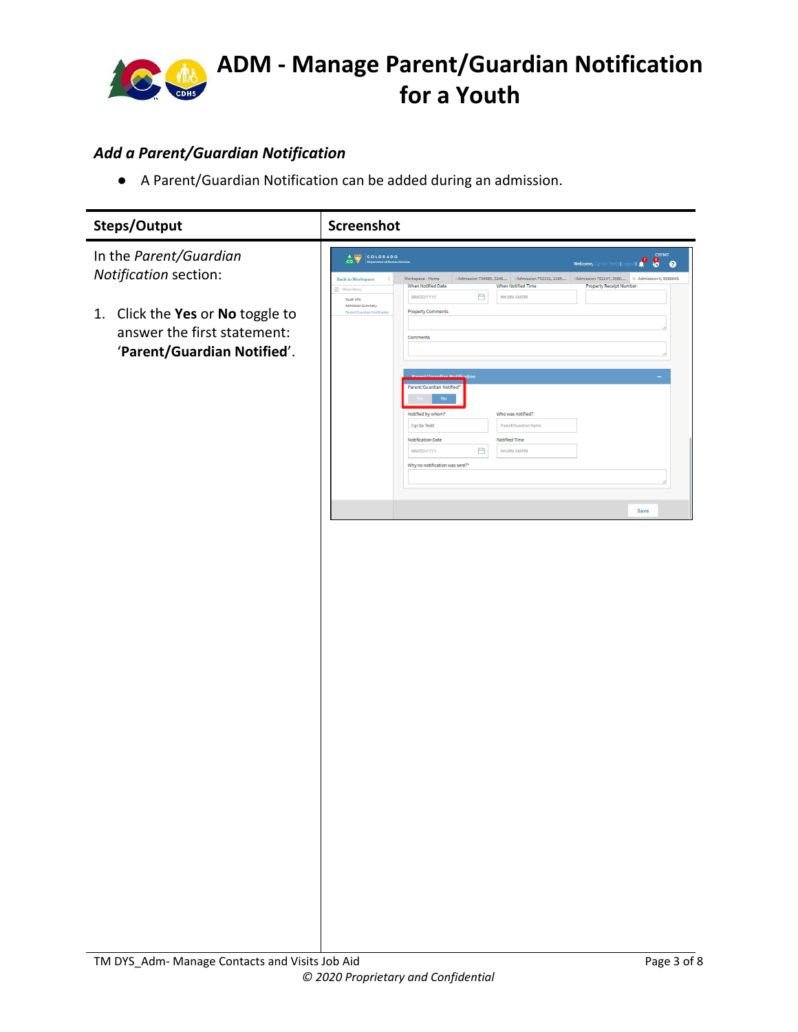

#### <span id="page-2-0"></span>*Add a Parent/Guardian Notification*

● A Parent/Guardian Notification can be added during an admission.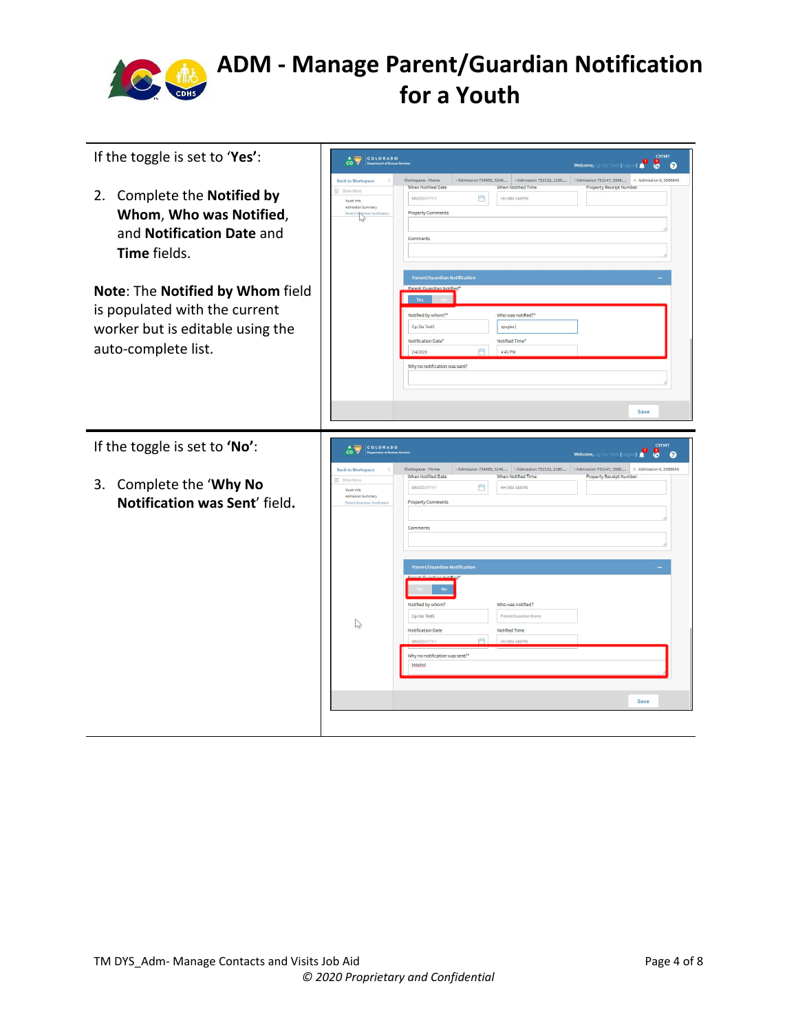

| If the toggle is set to 'Yes':                                                                                               | <b>CYFMT</b><br>COLORADO<br>$\hat{c}$<br>$8^{\circ}$<br><b>Welcome,</b> Cgi Qa Test5 (Logout)                                                                                                                                                                                                                                                                                        |  |  |  |  |
|------------------------------------------------------------------------------------------------------------------------------|--------------------------------------------------------------------------------------------------------------------------------------------------------------------------------------------------------------------------------------------------------------------------------------------------------------------------------------------------------------------------------------|--|--|--|--|
| Complete the Notified by<br>2.<br>Whom, Who was Notified,<br>and Notification Date and<br>Time fields.                       | Admission 734985, 3249 Admission 752132, 2165<br>Admission 752147, 3566 X Admission 0, 3566643<br>Workspace - Home<br><b>Back to Workspace</b><br>When Notified Date<br>When Notified Time<br>Property Receipt Number<br>= Show Meno<br>₿<br>MM/DD/YYYY<br>HH:MM AM/PM<br>Youth Info<br>Admission Summary<br><b>Property Comments</b><br>Parent/G Notificato<br>Comments             |  |  |  |  |
| Note: The Notified by Whom field<br>is populated with the current<br>worker but is editable using the<br>auto-complete list. | <b>Parent/Guardian Notification</b><br>Parent/Guardian Notified"<br>Notified by whom?*<br>Who was notified?<br>Cgi Qa Test5<br>spugba:<br>Notification Date<br>Notified Time<br>曲<br>2/4/2020<br>4:45 PM<br>Why no notification was sent?<br>Save                                                                                                                                    |  |  |  |  |
| If the toggle is set to 'No':                                                                                                | CYFMT<br>CO COLORADO<br>29<br>$\mathbf{g}$<br>- 0<br>Welcome, Cgi Qa Test5 (Li                                                                                                                                                                                                                                                                                                       |  |  |  |  |
| 3. Complete the 'Why No<br>Notification was Sent' field.                                                                     | Admission 734985, 3249 Admission 752132, 2165<br>>Admission 752147, 3566 X Admission 0, 3566643<br><b>Back to Workspace</b><br>Workspace - Home<br>When Notified Date<br>When Notified Time<br><b>Property Receipt Number</b><br>Show Menu<br>Ë<br>MM/DD/YYYY<br>HH:MM AM/PM<br>Youth Info<br>Admission Summary<br><b>Property Comments</b><br>Parent/Guardian Notifical<br>Comments |  |  |  |  |
|                                                                                                                              | <b>Parent/Guardian Notification</b><br>Parent/Guardian Notified<br>$_{\rm No}$<br>Notified by whom?<br>Who was notified?<br>Cgi Qa Test5<br>Parent/Guardian Name<br>$\mathbb{P}$<br><b>Notification Date</b><br>Notified Time<br>plot <sub>1</sub><br><b>HH MM AM/PM</b><br>MM/DD/YYYY<br>Why no notification was sent?*<br>htdakhd<br>Save                                          |  |  |  |  |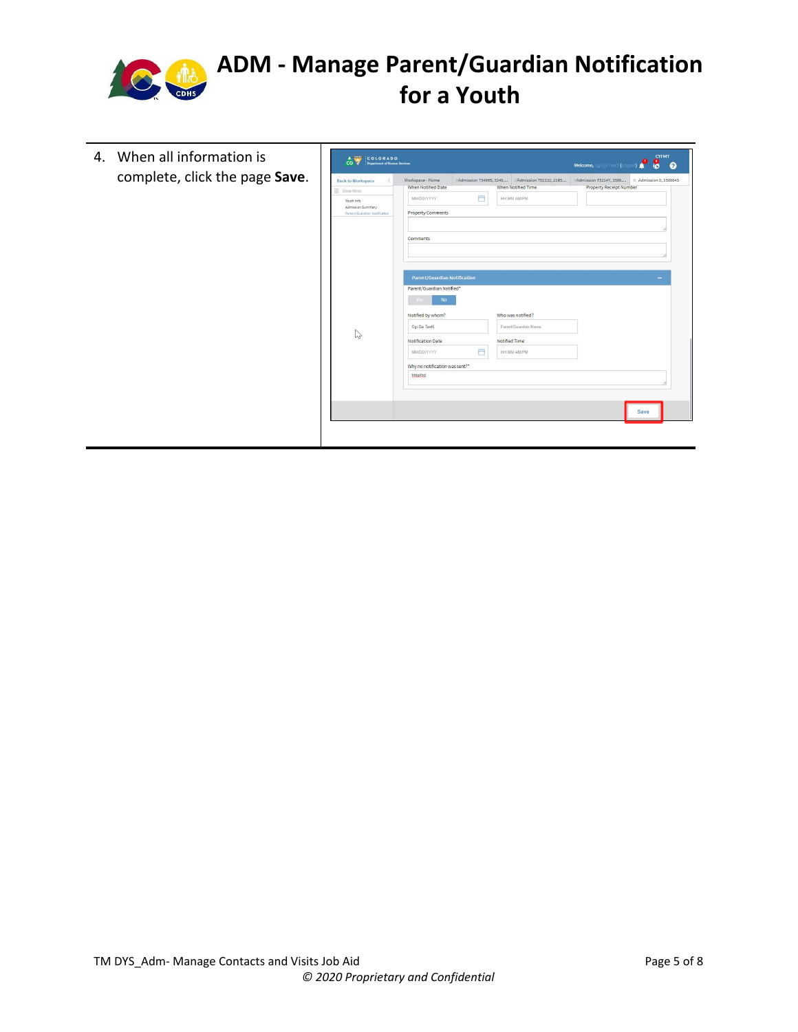

| complete, click the page Save.<br>Admission 752147, 3566<br>Workspace - Home<br>Admission 734985, 3249<br>>Admission 752132, 2165<br><b>Back to Workspace</b><br><b>Property Receipt Number</b><br>When Notified Date<br><b>When Notified Time</b><br>= Show Menu<br>Ë<br>MM/DD/YYYY<br>HH:MM AM/PM<br>Youth Info<br>Admission Summary<br><b>Property Comments</b><br>Parent/Guardian Notificaton<br>Comments<br><b>Parent/Guardian Notification</b><br>Parent/Guardian Notified*<br><b>No</b><br>Yes<br>Who was notified?<br>Notified by whom?<br>Cgi Qa Test5<br>Parent/Guardian Name<br>$\mathbb{Z}$<br><b>Notification Date</b><br>Notified Time<br>門<br><b>HH:MM AM/PM</b><br>MM/DD/YYYY<br>Why no notification was sent?*<br>htdgkhd |  | 4. When all information is |  | <b>CYFMT</b><br><b>A</b><br>CO PADO<br><b>President of Human Services</b><br>$\bullet$<br>$\sqrt{2}$<br>$\cos \sqrt{\frac{2}{x}}$<br><b>Welcome, Cgi Qa Test5 (Logo)</b><br>$\boldsymbol{\Omega}$ |  |  |      |  |                               |
|--------------------------------------------------------------------------------------------------------------------------------------------------------------------------------------------------------------------------------------------------------------------------------------------------------------------------------------------------------------------------------------------------------------------------------------------------------------------------------------------------------------------------------------------------------------------------------------------------------------------------------------------------------------------------------------------------------------------------------------------|--|----------------------------|--|---------------------------------------------------------------------------------------------------------------------------------------------------------------------------------------------------|--|--|------|--|-------------------------------|
|                                                                                                                                                                                                                                                                                                                                                                                                                                                                                                                                                                                                                                                                                                                                            |  |                            |  |                                                                                                                                                                                                   |  |  |      |  | $\times$ Admission 0, 3566643 |
|                                                                                                                                                                                                                                                                                                                                                                                                                                                                                                                                                                                                                                                                                                                                            |  |                            |  |                                                                                                                                                                                                   |  |  |      |  |                               |
|                                                                                                                                                                                                                                                                                                                                                                                                                                                                                                                                                                                                                                                                                                                                            |  |                            |  |                                                                                                                                                                                                   |  |  |      |  |                               |
|                                                                                                                                                                                                                                                                                                                                                                                                                                                                                                                                                                                                                                                                                                                                            |  |                            |  |                                                                                                                                                                                                   |  |  |      |  |                               |
|                                                                                                                                                                                                                                                                                                                                                                                                                                                                                                                                                                                                                                                                                                                                            |  |                            |  |                                                                                                                                                                                                   |  |  |      |  |                               |
|                                                                                                                                                                                                                                                                                                                                                                                                                                                                                                                                                                                                                                                                                                                                            |  |                            |  |                                                                                                                                                                                                   |  |  |      |  |                               |
|                                                                                                                                                                                                                                                                                                                                                                                                                                                                                                                                                                                                                                                                                                                                            |  |                            |  |                                                                                                                                                                                                   |  |  |      |  |                               |
|                                                                                                                                                                                                                                                                                                                                                                                                                                                                                                                                                                                                                                                                                                                                            |  |                            |  |                                                                                                                                                                                                   |  |  |      |  |                               |
|                                                                                                                                                                                                                                                                                                                                                                                                                                                                                                                                                                                                                                                                                                                                            |  |                            |  |                                                                                                                                                                                                   |  |  |      |  |                               |
|                                                                                                                                                                                                                                                                                                                                                                                                                                                                                                                                                                                                                                                                                                                                            |  |                            |  |                                                                                                                                                                                                   |  |  |      |  |                               |
|                                                                                                                                                                                                                                                                                                                                                                                                                                                                                                                                                                                                                                                                                                                                            |  |                            |  |                                                                                                                                                                                                   |  |  |      |  |                               |
|                                                                                                                                                                                                                                                                                                                                                                                                                                                                                                                                                                                                                                                                                                                                            |  |                            |  |                                                                                                                                                                                                   |  |  |      |  |                               |
|                                                                                                                                                                                                                                                                                                                                                                                                                                                                                                                                                                                                                                                                                                                                            |  |                            |  |                                                                                                                                                                                                   |  |  |      |  |                               |
|                                                                                                                                                                                                                                                                                                                                                                                                                                                                                                                                                                                                                                                                                                                                            |  |                            |  |                                                                                                                                                                                                   |  |  | Save |  |                               |
|                                                                                                                                                                                                                                                                                                                                                                                                                                                                                                                                                                                                                                                                                                                                            |  |                            |  |                                                                                                                                                                                                   |  |  |      |  |                               |
|                                                                                                                                                                                                                                                                                                                                                                                                                                                                                                                                                                                                                                                                                                                                            |  |                            |  |                                                                                                                                                                                                   |  |  |      |  |                               |
|                                                                                                                                                                                                                                                                                                                                                                                                                                                                                                                                                                                                                                                                                                                                            |  |                            |  |                                                                                                                                                                                                   |  |  |      |  |                               |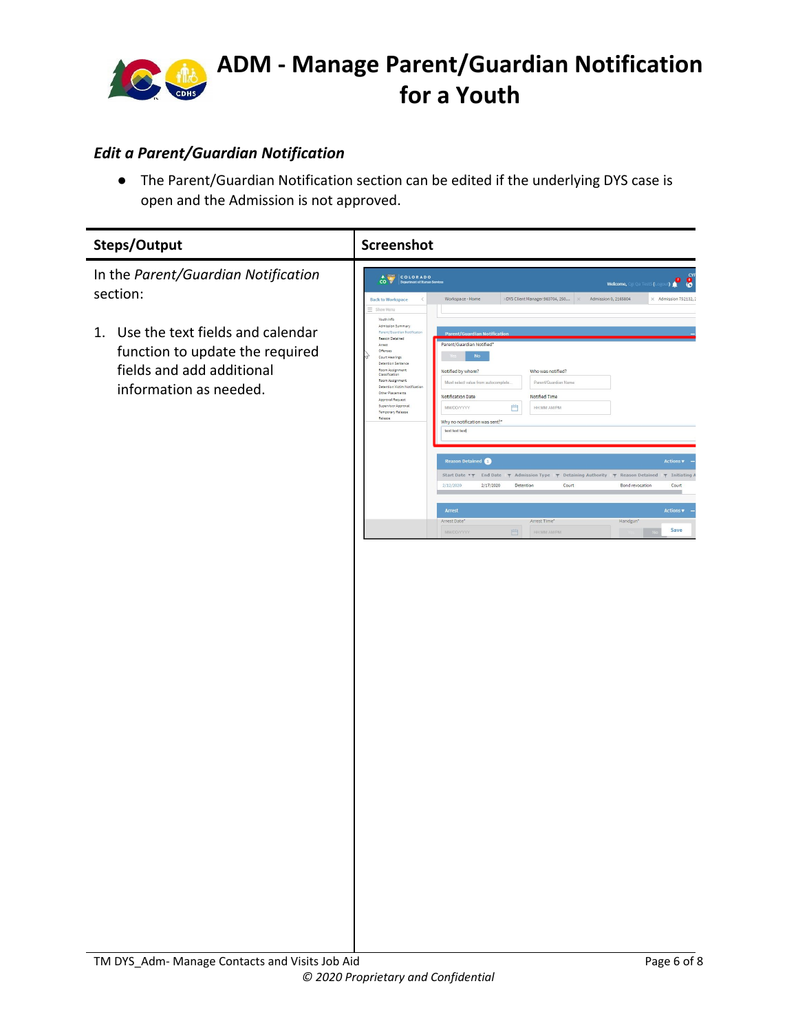

#### <span id="page-5-0"></span>*Edit a Parent/Guardian Notification*

● The Parent/Guardian Notification section can be edited if the underlying DYS case is open and the Admission is not approved.

| Steps/Output                                                                                                                     | Screenshot                                                                                                                                                                                                                                                                                                                                                                                                                                                                                                                                                                                                                                                         |  |  |  |  |  |  |
|----------------------------------------------------------------------------------------------------------------------------------|--------------------------------------------------------------------------------------------------------------------------------------------------------------------------------------------------------------------------------------------------------------------------------------------------------------------------------------------------------------------------------------------------------------------------------------------------------------------------------------------------------------------------------------------------------------------------------------------------------------------------------------------------------------------|--|--|--|--|--|--|
| In the Parent/Guardian Notification<br>section:                                                                                  | COLORADO<br>Welcome, Cgi Qa Test5 (Logout)<br>Admission 0, 2165804<br>$\times$ Admission 752132, 2<br><b>Back to Workspace</b><br>Workspace - Home<br>XDYS Client Manager 983704, 250<br>$\,$ $\,$<br>$\times$<br>$\equiv$ Show Menu                                                                                                                                                                                                                                                                                                                                                                                                                               |  |  |  |  |  |  |
| Use the text fields and calendar<br>1.<br>function to update the required<br>fields and add additional<br>information as needed. | Youth Info<br>Admission Summary<br>Parent/Guardian Notifical<br><b>Parent/Guardian Notification</b><br>Reason Detained<br>Parent/Guardian Notified'<br>Arrest<br>Offenses<br><b>No</b><br>Court Hearings<br>Detention Sentence<br>Room Assignment<br>Notified by whom?<br>Who was notified?<br>Classification<br>Room Assignment<br>Must select value from autocomplete.<br>Parent/Guardian Name<br>Detention Victim Notificatio<br>Other Placements<br>Notification Date<br>Notified Time<br>Approval Request<br>Supervisor Approval<br>曲<br><b>HH:MM AM/PM</b><br>MM/DD/YYYY<br>Temporary Release<br>Release<br>Why no notification was sent?"<br>test test test |  |  |  |  |  |  |
|                                                                                                                                  | Reason Detained<br><b>Actions v</b><br>Start Date $\forall \gamma$ End Date $\gamma$ Admission Type $\gamma$ Detaining Authority $\gamma$ Reason Detained $\gamma$ Initiating<br>2/12/2020<br>2/17/2020<br>Detention<br>Court<br>Bond revocation<br>Court<br>Arrest<br><b>Actions</b><br>Arrest Time"<br>Arrest Date"<br>Handgun*<br>Save<br>MM/DD/YYYY<br>白<br><b>HECMM AM/PM</b>                                                                                                                                                                                                                                                                                 |  |  |  |  |  |  |
|                                                                                                                                  |                                                                                                                                                                                                                                                                                                                                                                                                                                                                                                                                                                                                                                                                    |  |  |  |  |  |  |
|                                                                                                                                  |                                                                                                                                                                                                                                                                                                                                                                                                                                                                                                                                                                                                                                                                    |  |  |  |  |  |  |
|                                                                                                                                  |                                                                                                                                                                                                                                                                                                                                                                                                                                                                                                                                                                                                                                                                    |  |  |  |  |  |  |
|                                                                                                                                  |                                                                                                                                                                                                                                                                                                                                                                                                                                                                                                                                                                                                                                                                    |  |  |  |  |  |  |
|                                                                                                                                  |                                                                                                                                                                                                                                                                                                                                                                                                                                                                                                                                                                                                                                                                    |  |  |  |  |  |  |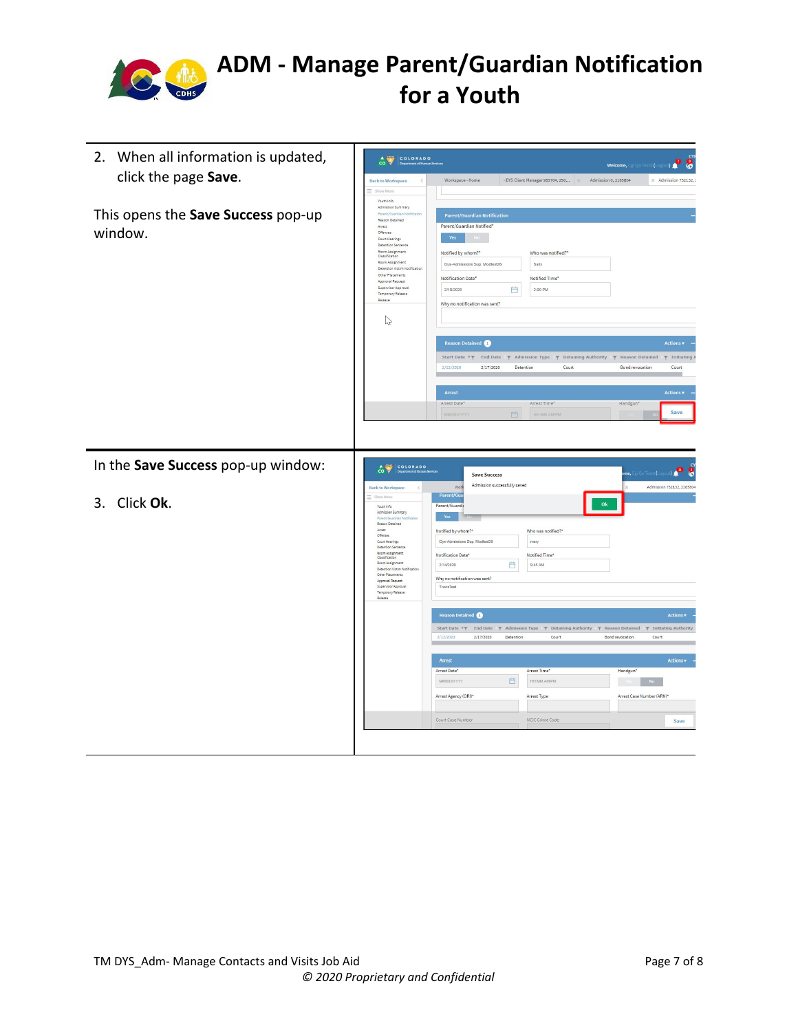

| 2. When all information is updated,<br>click the page Save. | COLORADO<br>$\frac{4}{100}$<br><b>Back to Workspace</b><br>$\overline{\left\langle \right\rangle }$<br>$\equiv$ Show Ment                                                                                                                                                                                                                                                                  | Workspace - Home                                                                                                                                                                                                               | DYS Client Manager 983704, 250 X                                                  | $\bf{8}$<br>29<br><b>Welcome, CgI Qa Test5 (Lo</b><br>Admission 0, 2165804<br>$\times$ Admission 752132,                                                                                                                     |
|-------------------------------------------------------------|--------------------------------------------------------------------------------------------------------------------------------------------------------------------------------------------------------------------------------------------------------------------------------------------------------------------------------------------------------------------------------------------|--------------------------------------------------------------------------------------------------------------------------------------------------------------------------------------------------------------------------------|-----------------------------------------------------------------------------------|------------------------------------------------------------------------------------------------------------------------------------------------------------------------------------------------------------------------------|
| This opens the Save Success pop-up<br>window.               | Youth Info<br>Admission Summary<br>Parent/Guardian Notificator<br>Reason Detained<br>Arrest<br>Offenses<br>Court Hearings<br>Detention Sentence<br>Room Assignment<br>Classification<br>Room Assignment<br>Detention Victim Notification<br>Other Placements<br>Approval Request<br>Supervisor Approval<br>Temporary Release<br>Release<br>$\heartsuit$                                    | <b>Parent/Guardian Notification</b><br>Parent/Guardian Notified*<br>Yes<br>Notified by whom?"<br>Dys-Admissions Sup. Modtest26<br>Notification Date*<br>Ë<br>2/18/2020<br>Why no notification was sent?                        | Who was notified?"<br>Sally<br>Notified Time*<br>2:00 PM                          |                                                                                                                                                                                                                              |
|                                                             |                                                                                                                                                                                                                                                                                                                                                                                            | <b>Reason Detained</b><br>2/17/2020<br>2/12/2020<br>Arrest<br>Arrest Date"<br>門<br>MM/DD/YYY                                                                                                                                   | Detention<br>Court<br>Arrest Time*<br><b>BRIMM AMPM</b>                           | <b>Actions v</b><br>Start Date $\forall \gamma$ End Date $\gamma$ Admission Type $\gamma$ Detaining Authority $\gamma$ Reason Detained $\gamma$ Initiating<br>Bond revocation<br>Court<br><b>Actions</b><br>Handgun'<br>Save |
| In the Save Success pop-up window:                          | CO PADO                                                                                                                                                                                                                                                                                                                                                                                    | <b>Save Success</b>                                                                                                                                                                                                            |                                                                                   | me, Cgi Qa Test5 (Logo<br>ю<br>$\frac{1}{2}$                                                                                                                                                                                 |
| Click Ok.<br>3.                                             | <b>Back to Workspace</b><br>$\equiv$ Show Menu<br><b>Youth Info</b><br>Admission Summary<br>Parent/Guardian Notif<br>Reason Detained<br>Arrest<br>Offenses<br>Court Hearings<br>Detention Sentence<br>Room Assignment<br>Classification<br>Room Assignment<br>Detention Victim Notification<br>Other Placements<br>Approval Request<br>Supervisor Approval<br>Temporary Release<br>Release | Admission successfully saved<br>Wor<br>Parent/Gua<br>Parent/Guardi<br>Yes<br>Notified by whom?*<br>Dys-Admissions Sup. Modtest26<br>Notification Date*<br>Ë<br>2/14/2020<br>Why no notification was sent?<br><b>TravisTest</b> | $\mathbf{0}\mathbf{k}$<br>Who was notified?"<br>mary<br>Notified Time*<br>9:45 AM | Admission 752132, 2165804                                                                                                                                                                                                    |
|                                                             |                                                                                                                                                                                                                                                                                                                                                                                            | Reason Detained                                                                                                                                                                                                                |                                                                                   | Actions v                                                                                                                                                                                                                    |
|                                                             |                                                                                                                                                                                                                                                                                                                                                                                            | Start Date <b>TT</b><br>2/17/2020<br>2/12/2020<br>Detention                                                                                                                                                                    | Court                                                                             | End Date $\pi$ Admission Type $\pi$ Detaining Authority $\pi$ Reason Detained $\pi$ Initiating Authority<br>Bond revocation<br>Court                                                                                         |
|                                                             |                                                                                                                                                                                                                                                                                                                                                                                            | Arrest                                                                                                                                                                                                                         |                                                                                   | <b>Actions v</b>                                                                                                                                                                                                             |
|                                                             |                                                                                                                                                                                                                                                                                                                                                                                            | Arrest Date*<br>MMDD/YYYY<br>白                                                                                                                                                                                                 | Arrest Time*<br><b>HR.MM AMPM</b>                                                 | Handgun*                                                                                                                                                                                                                     |
|                                                             |                                                                                                                                                                                                                                                                                                                                                                                            | Arrest Agency (ORI)*                                                                                                                                                                                                           | Arrest Type                                                                       | Arrest Case Number (ARN)*                                                                                                                                                                                                    |
|                                                             |                                                                                                                                                                                                                                                                                                                                                                                            |                                                                                                                                                                                                                                |                                                                                   |                                                                                                                                                                                                                              |
|                                                             |                                                                                                                                                                                                                                                                                                                                                                                            | Court Case Number                                                                                                                                                                                                              | NCIC Crime Code                                                                   | Save                                                                                                                                                                                                                         |